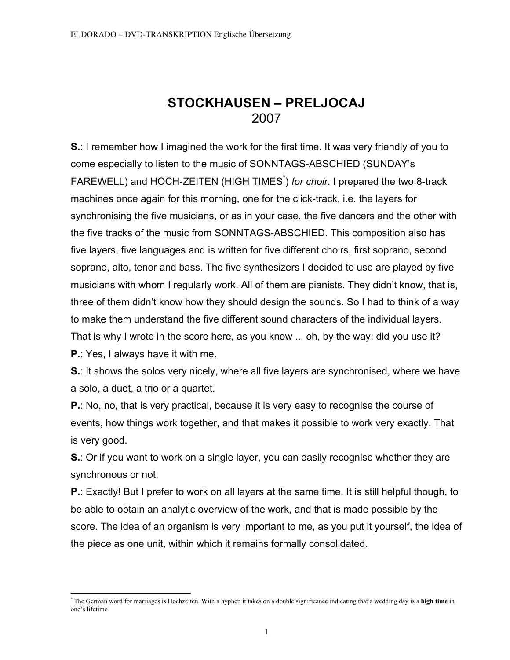# **STOCKHAUSEN – PRELJOCAJ** 2007

**S.**: I remember how I imagined the work for the first time. It was very friendly of you to come especially to listen to the music of SONNTAGS-ABSCHIED (SUNDAY's FAREWELL) and HOCH-ZEITEN (HIGH TIMES<sup>\*</sup>) for choir. I prepared the two 8-track machines once again for this morning, one for the click-track, i.e. the layers for synchronising the five musicians, or as in your case, the five dancers and the other with the five tracks of the music from SONNTAGS-ABSCHIED. This composition also has five layers, five languages and is written for five different choirs, first soprano, second soprano, alto, tenor and bass. The five synthesizers I decided to use are played by five musicians with whom I regularly work. All of them are pianists. They didn't know, that is, three of them didn't know how they should design the sounds. So I had to think of a way to make them understand the five different sound characters of the individual layers. That is why I wrote in the score here, as you know ... oh, by the way: did you use it? **P.**: Yes, I always have it with me.

**S.**: It shows the solos very nicely, where all five layers are synchronised, where we have a solo, a duet, a trio or a quartet.

**P.**: No, no, that is very practical, because it is very easy to recognise the course of events, how things work together, and that makes it possible to work very exactly. That is very good.

**S.**: Or if you want to work on a single layer, you can easily recognise whether they are synchronous or not.

**P.**: Exactly! But I prefer to work on all layers at the same time. It is still helpful though, to be able to obtain an analytic overview of the work, and that is made possible by the score. The idea of an organism is very important to me, as you put it yourself, the idea of the piece as one unit, within which it remains formally consolidated.

<sup>\*</sup> The German word for marriages is Hochzeiten. With a hyphen it takes on a double significance indicating that a wedding day is a **high time** in one's lifetime.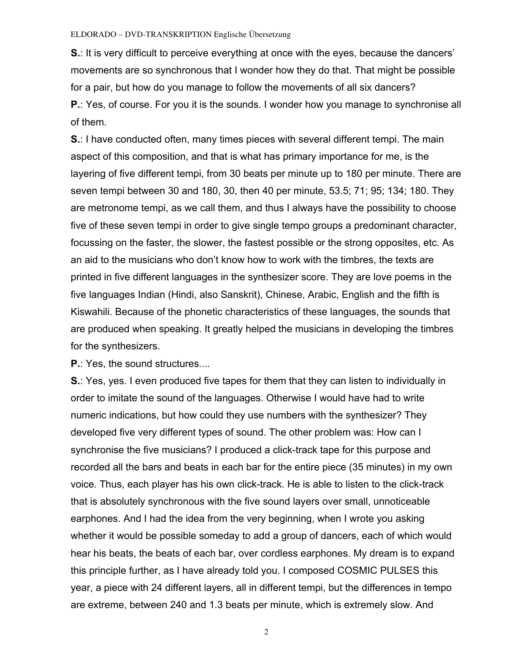**S.**: It is very difficult to perceive everything at once with the eyes, because the dancers' movements are so synchronous that I wonder how they do that. That might be possible for a pair, but how do you manage to follow the movements of all six dancers? **P.**: Yes, of course. For you it is the sounds. I wonder how you manage to synchronise all of them.

**S.**: I have conducted often, many times pieces with several different tempi. The main aspect of this composition, and that is what has primary importance for me, is the layering of five different tempi, from 30 beats per minute up to 180 per minute. There are seven tempi between 30 and 180, 30, then 40 per minute, 53.5; 71; 95; 134; 180. They are metronome tempi, as we call them, and thus I always have the possibility to choose five of these seven tempi in order to give single tempo groups a predominant character, focussing on the faster, the slower, the fastest possible or the strong opposites, etc. As an aid to the musicians who don't know how to work with the timbres, the texts are printed in five different languages in the synthesizer score. They are love poems in the five languages Indian (Hindi, also Sanskrit), Chinese, Arabic, English and the fifth is Kiswahili. Because of the phonetic characteristics of these languages, the sounds that are produced when speaking. It greatly helped the musicians in developing the timbres for the synthesizers.

**P.**: Yes, the sound structures...

**S.**: Yes, yes. I even produced five tapes for them that they can listen to individually in order to imitate the sound of the languages. Otherwise I would have had to write numeric indications, but how could they use numbers with the synthesizer? They developed five very different types of sound. The other problem was: How can I synchronise the five musicians? I produced a click-track tape for this purpose and recorded all the bars and beats in each bar for the entire piece (35 minutes) in my own voice. Thus, each player has his own click-track. He is able to listen to the click-track that is absolutely synchronous with the five sound layers over small, unnoticeable earphones. And I had the idea from the very beginning, when I wrote you asking whether it would be possible someday to add a group of dancers, each of which would hear his beats, the beats of each bar, over cordless earphones. My dream is to expand this principle further, as I have already told you. I composed COSMIC PULSES this year, a piece with 24 different layers, all in different tempi, but the differences in tempo are extreme, between 240 and 1.3 beats per minute, which is extremely slow. And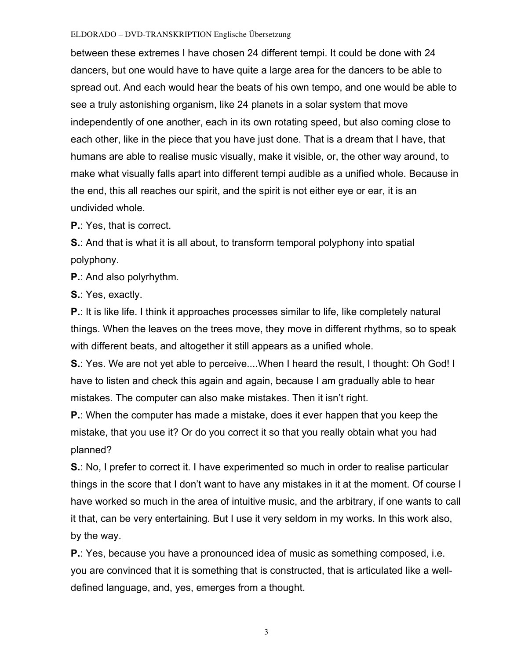between these extremes I have chosen 24 different tempi. It could be done with 24 dancers, but one would have to have quite a large area for the dancers to be able to spread out. And each would hear the beats of his own tempo, and one would be able to see a truly astonishing organism, like 24 planets in a solar system that move independently of one another, each in its own rotating speed, but also coming close to each other, like in the piece that you have just done. That is a dream that I have, that humans are able to realise music visually, make it visible, or, the other way around, to make what visually falls apart into different tempi audible as a unified whole. Because in the end, this all reaches our spirit, and the spirit is not either eye or ear, it is an undivided whole.

**P.**: Yes, that is correct.

**S.**: And that is what it is all about, to transform temporal polyphony into spatial polyphony.

**P.**: And also polyrhythm.

**S.**: Yes, exactly.

**P.**: It is like life. I think it approaches processes similar to life, like completely natural things. When the leaves on the trees move, they move in different rhythms, so to speak with different beats, and altogether it still appears as a unified whole.

**S.**: Yes. We are not yet able to perceive....When I heard the result, I thought: Oh God! I have to listen and check this again and again, because I am gradually able to hear mistakes. The computer can also make mistakes. Then it isn't right.

**P.**: When the computer has made a mistake, does it ever happen that you keep the mistake, that you use it? Or do you correct it so that you really obtain what you had planned?

**S.**: No, I prefer to correct it. I have experimented so much in order to realise particular things in the score that I don't want to have any mistakes in it at the moment. Of course I have worked so much in the area of intuitive music, and the arbitrary, if one wants to call it that, can be very entertaining. But I use it very seldom in my works. In this work also, by the way.

**P.**: Yes, because you have a pronounced idea of music as something composed, i.e. you are convinced that it is something that is constructed, that is articulated like a welldefined language, and, yes, emerges from a thought.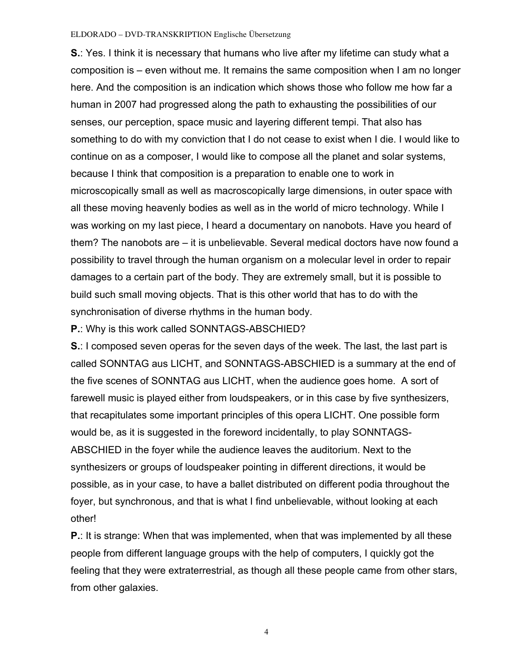**S.**: Yes. I think it is necessary that humans who live after my lifetime can study what a composition is – even without me. It remains the same composition when I am no longer here. And the composition is an indication which shows those who follow me how far a human in 2007 had progressed along the path to exhausting the possibilities of our senses, our perception, space music and layering different tempi. That also has something to do with my conviction that I do not cease to exist when I die. I would like to continue on as a composer, I would like to compose all the planet and solar systems, because I think that composition is a preparation to enable one to work in microscopically small as well as macroscopically large dimensions, in outer space with all these moving heavenly bodies as well as in the world of micro technology. While I was working on my last piece, I heard a documentary on nanobots. Have you heard of them? The nanobots are – it is unbelievable. Several medical doctors have now found a possibility to travel through the human organism on a molecular level in order to repair damages to a certain part of the body. They are extremely small, but it is possible to build such small moving objects. That is this other world that has to do with the synchronisation of diverse rhythms in the human body.

**P.**: Why is this work called SONNTAGS-ABSCHIED?

**S.**: I composed seven operas for the seven days of the week. The last, the last part is called SONNTAG aus LICHT, and SONNTAGS-ABSCHIED is a summary at the end of the five scenes of SONNTAG aus LICHT, when the audience goes home. A sort of farewell music is played either from loudspeakers, or in this case by five synthesizers, that recapitulates some important principles of this opera LICHT. One possible form would be, as it is suggested in the foreword incidentally, to play SONNTAGS-ABSCHIED in the foyer while the audience leaves the auditorium. Next to the synthesizers or groups of loudspeaker pointing in different directions, it would be possible, as in your case, to have a ballet distributed on different podia throughout the foyer, but synchronous, and that is what I find unbelievable, without looking at each other!

**P.**: It is strange: When that was implemented, when that was implemented by all these people from different language groups with the help of computers, I quickly got the feeling that they were extraterrestrial, as though all these people came from other stars, from other galaxies.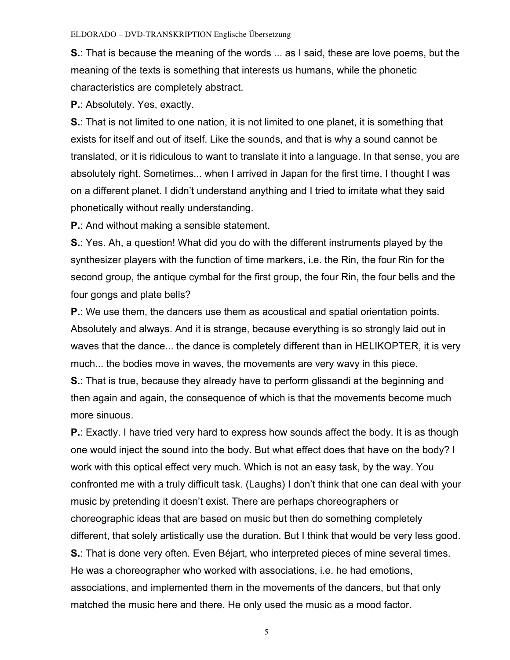**S.**: That is because the meaning of the words ... as I said, these are love poems, but the meaning of the texts is something that interests us humans, while the phonetic characteristics are completely abstract.

**P.**: Absolutely. Yes, exactly.

**S.**: That is not limited to one nation, it is not limited to one planet, it is something that exists for itself and out of itself. Like the sounds, and that is why a sound cannot be translated, or it is ridiculous to want to translate it into a language. In that sense, you are absolutely right. Sometimes... when I arrived in Japan for the first time, I thought I was on a different planet. I didn't understand anything and I tried to imitate what they said phonetically without really understanding.

**P.**: And without making a sensible statement.

**S.**: Yes. Ah, a question! What did you do with the different instruments played by the synthesizer players with the function of time markers, i.e. the Rin, the four Rin for the second group, the antique cymbal for the first group, the four Rin, the four bells and the four gongs and plate bells?

**P.**: We use them, the dancers use them as acoustical and spatial orientation points. Absolutely and always. And it is strange, because everything is so strongly laid out in waves that the dance... the dance is completely different than in HELIKOPTER, it is very much... the bodies move in waves, the movements are very wavy in this piece.

**S.**: That is true, because they already have to perform glissandi at the beginning and then again and again, the consequence of which is that the movements become much more sinuous.

**P.**: Exactly. I have tried very hard to express how sounds affect the body. It is as though one would inject the sound into the body. But what effect does that have on the body? I work with this optical effect very much. Which is not an easy task, by the way. You confronted me with a truly difficult task. (Laughs) I don't think that one can deal with your music by pretending it doesn't exist. There are perhaps choreographers or choreographic ideas that are based on music but then do something completely different, that solely artistically use the duration. But I think that would be very less good. **S.**: That is done very often. Even Béjart, who interpreted pieces of mine several times. He was a choreographer who worked with associations, i.e. he had emotions, associations, and implemented them in the movements of the dancers, but that only matched the music here and there. He only used the music as a mood factor.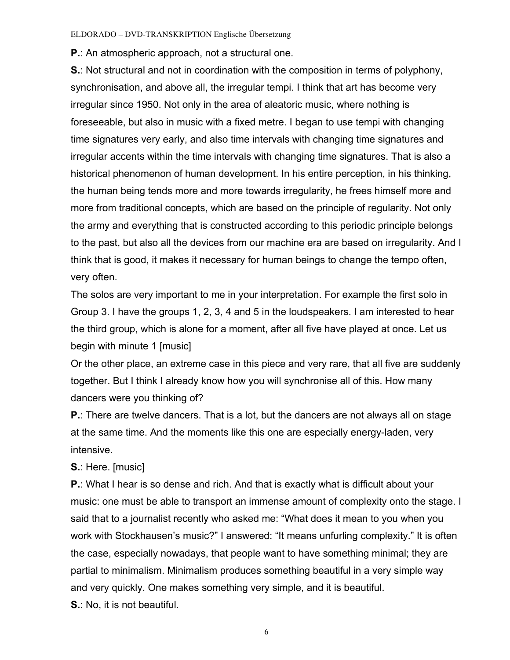**P.**: An atmospheric approach, not a structural one.

**S.**: Not structural and not in coordination with the composition in terms of polyphony, synchronisation, and above all, the irregular tempi. I think that art has become very irregular since 1950. Not only in the area of aleatoric music, where nothing is foreseeable, but also in music with a fixed metre. I began to use tempi with changing time signatures very early, and also time intervals with changing time signatures and irregular accents within the time intervals with changing time signatures. That is also a historical phenomenon of human development. In his entire perception, in his thinking, the human being tends more and more towards irregularity, he frees himself more and more from traditional concepts, which are based on the principle of regularity. Not only the army and everything that is constructed according to this periodic principle belongs to the past, but also all the devices from our machine era are based on irregularity. And I think that is good, it makes it necessary for human beings to change the tempo often, very often.

The solos are very important to me in your interpretation. For example the first solo in Group 3. I have the groups 1, 2, 3, 4 and 5 in the loudspeakers. I am interested to hear the third group, which is alone for a moment, after all five have played at once. Let us begin with minute 1 [music]

Or the other place, an extreme case in this piece and very rare, that all five are suddenly together. But I think I already know how you will synchronise all of this. How many dancers were you thinking of?

**P.**: There are twelve dancers. That is a lot, but the dancers are not always all on stage at the same time. And the moments like this one are especially energy-laden, very intensive.

## **S.**: Here. [music]

**P.**: What I hear is so dense and rich. And that is exactly what is difficult about your music: one must be able to transport an immense amount of complexity onto the stage. I said that to a journalist recently who asked me: "What does it mean to you when you work with Stockhausen's music?" I answered: "It means unfurling complexity." It is often the case, especially nowadays, that people want to have something minimal; they are partial to minimalism. Minimalism produces something beautiful in a very simple way and very quickly. One makes something very simple, and it is beautiful. **S.**: No, it is not beautiful.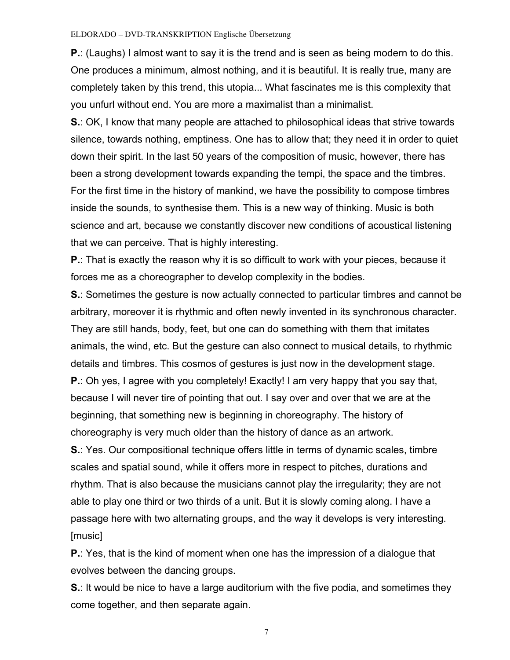**P.**: (Laughs) I almost want to say it is the trend and is seen as being modern to do this. One produces a minimum, almost nothing, and it is beautiful. It is really true, many are completely taken by this trend, this utopia... What fascinates me is this complexity that you unfurl without end. You are more a maximalist than a minimalist.

**S.**: OK, I know that many people are attached to philosophical ideas that strive towards silence, towards nothing, emptiness. One has to allow that; they need it in order to quiet down their spirit. In the last 50 years of the composition of music, however, there has been a strong development towards expanding the tempi, the space and the timbres. For the first time in the history of mankind, we have the possibility to compose timbres inside the sounds, to synthesise them. This is a new way of thinking. Music is both science and art, because we constantly discover new conditions of acoustical listening that we can perceive. That is highly interesting.

**P.**: That is exactly the reason why it is so difficult to work with your pieces, because it forces me as a choreographer to develop complexity in the bodies.

**S.**: Sometimes the gesture is now actually connected to particular timbres and cannot be arbitrary, moreover it is rhythmic and often newly invented in its synchronous character. They are still hands, body, feet, but one can do something with them that imitates animals, the wind, etc. But the gesture can also connect to musical details, to rhythmic details and timbres. This cosmos of gestures is just now in the development stage. **P.**: Oh yes, I agree with you completely! Exactly! I am very happy that you say that,

because I will never tire of pointing that out. I say over and over that we are at the beginning, that something new is beginning in choreography. The history of choreography is very much older than the history of dance as an artwork.

**S.**: Yes. Our compositional technique offers little in terms of dynamic scales, timbre scales and spatial sound, while it offers more in respect to pitches, durations and rhythm. That is also because the musicians cannot play the irregularity; they are not able to play one third or two thirds of a unit. But it is slowly coming along. I have a passage here with two alternating groups, and the way it develops is very interesting. [music]

**P.**: Yes, that is the kind of moment when one has the impression of a dialogue that evolves between the dancing groups.

**S.**: It would be nice to have a large auditorium with the five podia, and sometimes they come together, and then separate again.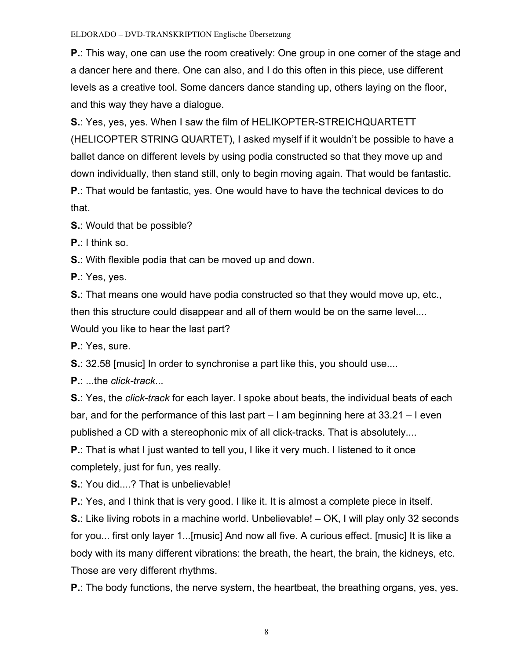**P.**: This way, one can use the room creatively: One group in one corner of the stage and a dancer here and there. One can also, and I do this often in this piece, use different levels as a creative tool. Some dancers dance standing up, others laying on the floor, and this way they have a dialogue.

**S.**: Yes, yes, yes. When I saw the film of HELIKOPTER-STREICHQUARTETT (HELICOPTER STRING QUARTET), I asked myself if it wouldn't be possible to have a ballet dance on different levels by using podia constructed so that they move up and down individually, then stand still, only to begin moving again. That would be fantastic. **P**.: That would be fantastic, yes. One would have to have the technical devices to do that.

**S.**: Would that be possible?

**P.**: I think so.

**S.**: With flexible podia that can be moved up and down.

**P.**: Yes, yes.

**S.**: That means one would have podia constructed so that they would move up, etc., then this structure could disappear and all of them would be on the same level....

Would you like to hear the last part?

**P.**: Yes, sure.

**S.**: 32.58 [music] In order to synchronise a part like this, you should use....

**P.**: ...the *click-track*...

**S.**: Yes, the *click-track* for each layer. I spoke about beats, the individual beats of each bar, and for the performance of this last part – I am beginning here at 33.21 – I even published a CD with a stereophonic mix of all click-tracks. That is absolutely....

**P.**: That is what I just wanted to tell you, I like it very much. I listened to it once completely, just for fun, yes really.

**S.**: You did....? That is unbelievable!

**P.**: Yes, and I think that is very good. I like it. It is almost a complete piece in itself.

**S.**: Like living robots in a machine world. Unbelievable! – OK, I will play only 32 seconds for you... first only layer 1...[music] And now all five. A curious effect. [music] It is like a body with its many different vibrations: the breath, the heart, the brain, the kidneys, etc. Those are very different rhythms.

**P.**: The body functions, the nerve system, the heartbeat, the breathing organs, yes, yes.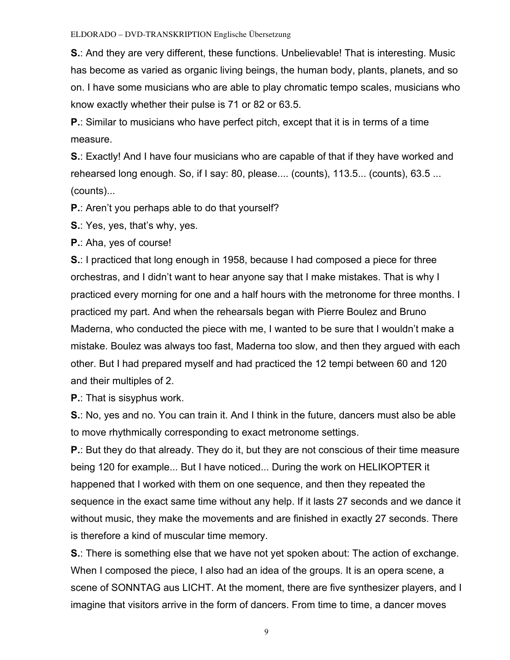**S.**: And they are very different, these functions. Unbelievable! That is interesting. Music has become as varied as organic living beings, the human body, plants, planets, and so on. I have some musicians who are able to play chromatic tempo scales, musicians who know exactly whether their pulse is 71 or 82 or 63.5.

**P.**: Similar to musicians who have perfect pitch, except that it is in terms of a time measure.

**S.**: Exactly! And I have four musicians who are capable of that if they have worked and rehearsed long enough. So, if I say: 80, please.... (counts), 113.5... (counts), 63.5 ... (counts)...

**P.**: Aren't you perhaps able to do that yourself?

**S.**: Yes, yes, that's why, yes.

**P.**: Aha, yes of course!

**S.**: I practiced that long enough in 1958, because I had composed a piece for three orchestras, and I didn't want to hear anyone say that I make mistakes. That is why I practiced every morning for one and a half hours with the metronome for three months. I practiced my part. And when the rehearsals began with Pierre Boulez and Bruno Maderna, who conducted the piece with me, I wanted to be sure that I wouldn't make a mistake. Boulez was always too fast, Maderna too slow, and then they argued with each other. But I had prepared myself and had practiced the 12 tempi between 60 and 120 and their multiples of 2.

**P.**: That is sisyphus work.

**S.**: No, yes and no. You can train it. And I think in the future, dancers must also be able to move rhythmically corresponding to exact metronome settings.

**P.**: But they do that already. They do it, but they are not conscious of their time measure being 120 for example... But I have noticed... During the work on HELIKOPTER it happened that I worked with them on one sequence, and then they repeated the sequence in the exact same time without any help. If it lasts 27 seconds and we dance it without music, they make the movements and are finished in exactly 27 seconds. There is therefore a kind of muscular time memory.

**S.**: There is something else that we have not yet spoken about: The action of exchange. When I composed the piece, I also had an idea of the groups. It is an opera scene, a scene of SONNTAG aus LICHT. At the moment, there are five synthesizer players, and I imagine that visitors arrive in the form of dancers. From time to time, a dancer moves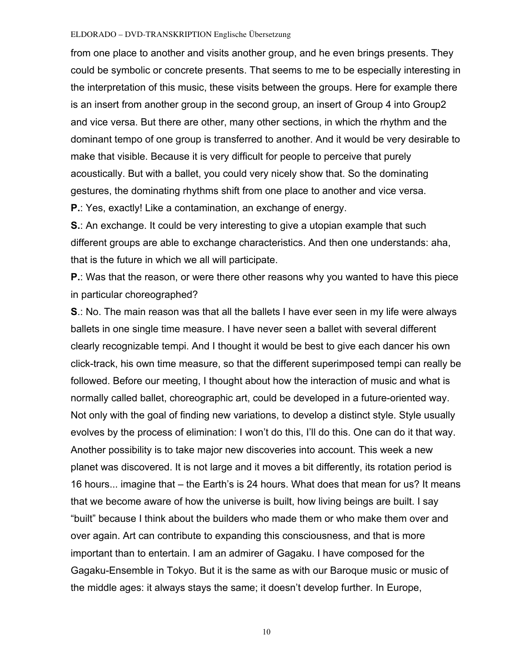from one place to another and visits another group, and he even brings presents. They could be symbolic or concrete presents. That seems to me to be especially interesting in the interpretation of this music, these visits between the groups. Here for example there is an insert from another group in the second group, an insert of Group 4 into Group2 and vice versa. But there are other, many other sections, in which the rhythm and the dominant tempo of one group is transferred to another. And it would be very desirable to make that visible. Because it is very difficult for people to perceive that purely acoustically. But with a ballet, you could very nicely show that. So the dominating gestures, the dominating rhythms shift from one place to another and vice versa. **P.**: Yes, exactly! Like a contamination, an exchange of energy.

**S.**: An exchange. It could be very interesting to give a utopian example that such different groups are able to exchange characteristics. And then one understands: aha, that is the future in which we all will participate.

**P.**: Was that the reason, or were there other reasons why you wanted to have this piece in particular choreographed?

**S**.: No. The main reason was that all the ballets I have ever seen in my life were always ballets in one single time measure. I have never seen a ballet with several different clearly recognizable tempi. And I thought it would be best to give each dancer his own click-track, his own time measure, so that the different superimposed tempi can really be followed. Before our meeting, I thought about how the interaction of music and what is normally called ballet, choreographic art, could be developed in a future-oriented way. Not only with the goal of finding new variations, to develop a distinct style. Style usually evolves by the process of elimination: I won't do this, I'll do this. One can do it that way. Another possibility is to take major new discoveries into account. This week a new planet was discovered. It is not large and it moves a bit differently, its rotation period is 16 hours... imagine that – the Earth's is 24 hours. What does that mean for us? It means that we become aware of how the universe is built, how living beings are built. I say "built" because I think about the builders who made them or who make them over and over again. Art can contribute to expanding this consciousness, and that is more important than to entertain. I am an admirer of Gagaku. I have composed for the Gagaku-Ensemble in Tokyo. But it is the same as with our Baroque music or music of the middle ages: it always stays the same; it doesn't develop further. In Europe,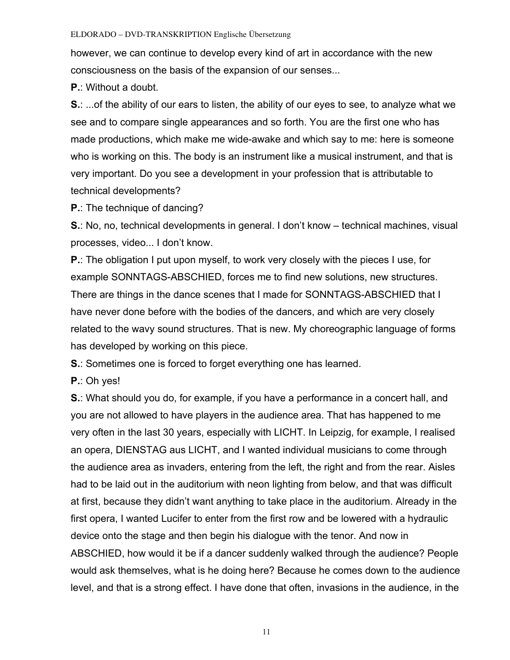however, we can continue to develop every kind of art in accordance with the new consciousness on the basis of the expansion of our senses...

**P.**: Without a doubt.

**S.**: ...of the ability of our ears to listen, the ability of our eyes to see, to analyze what we see and to compare single appearances and so forth. You are the first one who has made productions, which make me wide-awake and which say to me: here is someone who is working on this. The body is an instrument like a musical instrument, and that is very important. Do you see a development in your profession that is attributable to technical developments?

**P.**: The technique of dancing?

**S.**: No, no, technical developments in general. I don't know – technical machines, visual processes, video... I don't know.

**P.**: The obligation I put upon myself, to work very closely with the pieces I use, for example SONNTAGS-ABSCHIED, forces me to find new solutions, new structures. There are things in the dance scenes that I made for SONNTAGS-ABSCHIED that I have never done before with the bodies of the dancers, and which are very closely related to the wavy sound structures. That is new. My choreographic language of forms has developed by working on this piece.

**S.:** Sometimes one is forced to forget everything one has learned.

**P.**: Oh yes!

**S.**: What should you do, for example, if you have a performance in a concert hall, and you are not allowed to have players in the audience area. That has happened to me very often in the last 30 years, especially with LICHT. In Leipzig, for example, I realised an opera, DIENSTAG aus LICHT, and I wanted individual musicians to come through the audience area as invaders, entering from the left, the right and from the rear. Aisles had to be laid out in the auditorium with neon lighting from below, and that was difficult at first, because they didn't want anything to take place in the auditorium. Already in the first opera, I wanted Lucifer to enter from the first row and be lowered with a hydraulic device onto the stage and then begin his dialogue with the tenor. And now in ABSCHIED, how would it be if a dancer suddenly walked through the audience? People would ask themselves, what is he doing here? Because he comes down to the audience level, and that is a strong effect. I have done that often, invasions in the audience, in the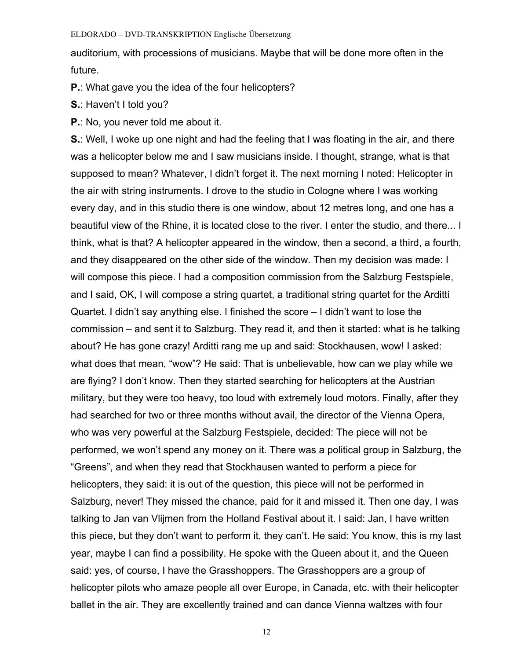auditorium, with processions of musicians. Maybe that will be done more often in the future.

**P.**: What gave you the idea of the four helicopters?

- **S.**: Haven't I told you?
- **P.**: No, you never told me about it.

**S.**: Well, I woke up one night and had the feeling that I was floating in the air, and there was a helicopter below me and I saw musicians inside. I thought, strange, what is that supposed to mean? Whatever, I didn't forget it. The next morning I noted: Helicopter in the air with string instruments. I drove to the studio in Cologne where I was working every day, and in this studio there is one window, about 12 metres long, and one has a beautiful view of the Rhine, it is located close to the river. I enter the studio, and there... I think, what is that? A helicopter appeared in the window, then a second, a third, a fourth, and they disappeared on the other side of the window. Then my decision was made: I will compose this piece. I had a composition commission from the Salzburg Festspiele, and I said, OK, I will compose a string quartet, a traditional string quartet for the Arditti Quartet. I didn't say anything else. I finished the score – I didn't want to lose the commission – and sent it to Salzburg. They read it, and then it started: what is he talking about? He has gone crazy! Arditti rang me up and said: Stockhausen, wow! I asked: what does that mean, "wow"? He said: That is unbelievable, how can we play while we are flying? I don't know. Then they started searching for helicopters at the Austrian military, but they were too heavy, too loud with extremely loud motors. Finally, after they had searched for two or three months without avail, the director of the Vienna Opera, who was very powerful at the Salzburg Festspiele, decided: The piece will not be performed, we won't spend any money on it. There was a political group in Salzburg, the "Greens", and when they read that Stockhausen wanted to perform a piece for helicopters, they said: it is out of the question, this piece will not be performed in Salzburg, never! They missed the chance, paid for it and missed it. Then one day, I was talking to Jan van Vlijmen from the Holland Festival about it. I said: Jan, I have written this piece, but they don't want to perform it, they can't. He said: You know, this is my last year, maybe I can find a possibility. He spoke with the Queen about it, and the Queen said: yes, of course, I have the Grasshoppers. The Grasshoppers are a group of helicopter pilots who amaze people all over Europe, in Canada, etc. with their helicopter ballet in the air. They are excellently trained and can dance Vienna waltzes with four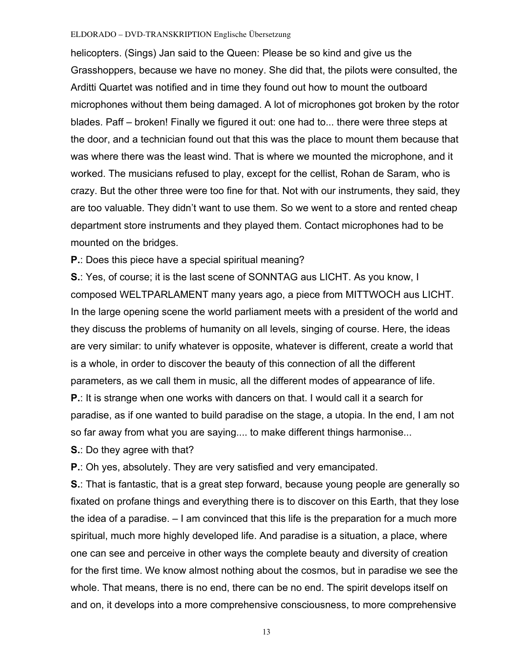helicopters. (Sings) Jan said to the Queen: Please be so kind and give us the Grasshoppers, because we have no money. She did that, the pilots were consulted, the Arditti Quartet was notified and in time they found out how to mount the outboard microphones without them being damaged. A lot of microphones got broken by the rotor blades. Paff – broken! Finally we figured it out: one had to... there were three steps at the door, and a technician found out that this was the place to mount them because that was where there was the least wind. That is where we mounted the microphone, and it worked. The musicians refused to play, except for the cellist, Rohan de Saram, who is crazy. But the other three were too fine for that. Not with our instruments, they said, they are too valuable. They didn't want to use them. So we went to a store and rented cheap department store instruments and they played them. Contact microphones had to be mounted on the bridges.

**P.**: Does this piece have a special spiritual meaning?

**S.**: Yes, of course; it is the last scene of SONNTAG aus LICHT. As you know, I composed WELTPARLAMENT many years ago, a piece from MITTWOCH aus LICHT. In the large opening scene the world parliament meets with a president of the world and they discuss the problems of humanity on all levels, singing of course. Here, the ideas are very similar: to unify whatever is opposite, whatever is different, create a world that is a whole, in order to discover the beauty of this connection of all the different parameters, as we call them in music, all the different modes of appearance of life. **P.**: It is strange when one works with dancers on that. I would call it a search for paradise, as if one wanted to build paradise on the stage, a utopia. In the end, I am not so far away from what you are saying.... to make different things harmonise...

**S.**: Do they agree with that?

**P.**: Oh yes, absolutely. They are very satisfied and very emancipated.

**S.**: That is fantastic, that is a great step forward, because young people are generally so fixated on profane things and everything there is to discover on this Earth, that they lose the idea of a paradise. – I am convinced that this life is the preparation for a much more spiritual, much more highly developed life. And paradise is a situation, a place, where one can see and perceive in other ways the complete beauty and diversity of creation for the first time. We know almost nothing about the cosmos, but in paradise we see the whole. That means, there is no end, there can be no end. The spirit develops itself on and on, it develops into a more comprehensive consciousness, to more comprehensive